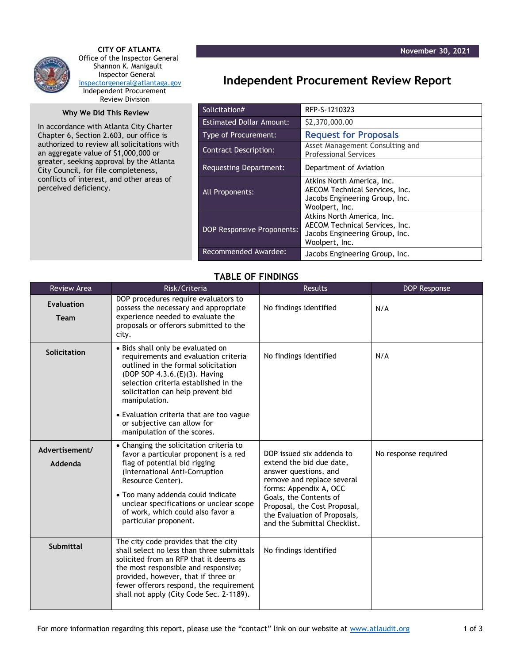

 **CITY OF ATLANTA** Office of the Inspector General Shannon K. Manigault Inspector General [inspectorgeneral@atlantaga.gov](mailto:inspectorgeneral@atlantaga.gov) Independent Procurement Review Division

## **Why We Did This Review**

In accordance with Atlanta City Charter Chapter 6, Section 2.603, our office is authorized to review all solicitations with an aggregate value of \$1,000,000 or greater, seeking approval by the Atlanta City Council, for file completeness, conflicts of interest, and other areas of perceived deficiency.

## **Independent Procurement Review Report**

| Solicitation#                     | RFP-S-1210323                                                                                                    |  |
|-----------------------------------|------------------------------------------------------------------------------------------------------------------|--|
| <b>Estimated Dollar Amount:</b>   | \$2,370,000.00                                                                                                   |  |
| <b>Type of Procurement:</b>       | <b>Request for Proposals</b>                                                                                     |  |
| <b>Contract Description:</b>      | Asset Management Consulting and<br><b>Professional Services</b>                                                  |  |
| Requesting Department:            | Department of Aviation                                                                                           |  |
| All Proponents:                   | Atkins North America, Inc.<br>AECOM Technical Services, Inc.<br>Jacobs Engineering Group, Inc.<br>Woolpert, Inc. |  |
| <b>DOP Responsive Proponents:</b> | Atkins North America, Inc.<br>AECOM Technical Services, Inc.<br>Jacobs Engineering Group, Inc.<br>Woolpert, Inc. |  |
| Recommended Awardee:              | Jacobs Engineering Group, Inc.                                                                                   |  |

## **TABLE OF FINDINGS**

| <b>Review Area</b>        | Risk/Criteria                                                                                                                                                                                                                                                                                                          | <b>Results</b>                                                                                                                                                                                                                                                   | <b>DOP Response</b>  |
|---------------------------|------------------------------------------------------------------------------------------------------------------------------------------------------------------------------------------------------------------------------------------------------------------------------------------------------------------------|------------------------------------------------------------------------------------------------------------------------------------------------------------------------------------------------------------------------------------------------------------------|----------------------|
| <b>Evaluation</b><br>Team | DOP procedures require evaluators to<br>possess the necessary and appropriate<br>experience needed to evaluate the<br>proposals or offerors submitted to the<br>city.                                                                                                                                                  | No findings identified                                                                                                                                                                                                                                           | N/A                  |
| Solicitation              | • Bids shall only be evaluated on<br>requirements and evaluation criteria<br>outlined in the formal solicitation<br>(DOP SOP 4.3.6. (E)(3). Having<br>selection criteria established in the<br>solicitation can help prevent bid<br>manipulation.                                                                      | No findings identified                                                                                                                                                                                                                                           | N/A                  |
|                           | • Evaluation criteria that are too vague<br>or subjective can allow for<br>manipulation of the scores.                                                                                                                                                                                                                 |                                                                                                                                                                                                                                                                  |                      |
| Advertisement/<br>Addenda | • Changing the solicitation criteria to<br>favor a particular proponent is a red<br>flag of potential bid rigging<br>(International Anti-Corruption<br>Resource Center).<br>• Too many addenda could indicate<br>unclear specifications or unclear scope<br>of work, which could also favor a<br>particular proponent. | DOP issued six addenda to<br>extend the bid due date,<br>answer questions, and<br>remove and replace several<br>forms: Appendix A, OCC<br>Goals, the Contents of<br>Proposal, the Cost Proposal,<br>the Evaluation of Proposals,<br>and the Submittal Checklist. | No response required |
| <b>Submittal</b>          | The city code provides that the city<br>shall select no less than three submittals<br>solicited from an RFP that it deems as<br>the most responsible and responsive;<br>provided, however, that if three or<br>fewer offerors respond, the requirement<br>shall not apply (City Code Sec. 2-1189).                     | No findings identified                                                                                                                                                                                                                                           |                      |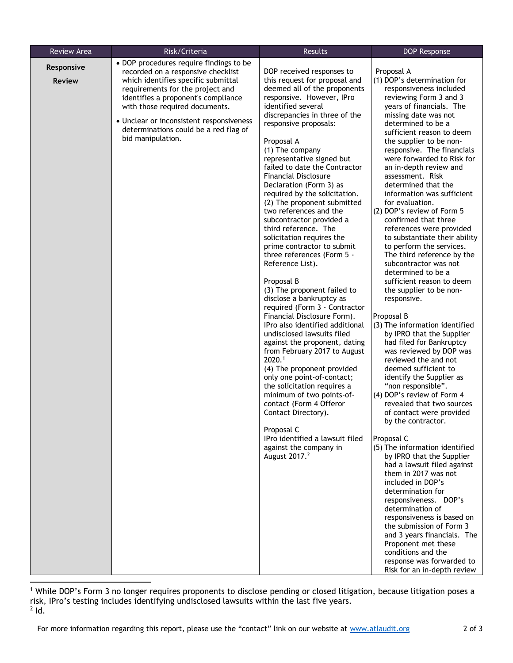| <b>Review Area</b>          | Risk/Criteria                                                                                                                                                                                                                                                                                                                               | Results                                                                                                                                                                                                                                                                                                                                                                                                                                                                                                                                                                                                                                   | <b>DOP Response</b>                                                                                                                                                                                                                                                                                                                                                                                                                                                                                                                                                                                                                                                         |
|-----------------------------|---------------------------------------------------------------------------------------------------------------------------------------------------------------------------------------------------------------------------------------------------------------------------------------------------------------------------------------------|-------------------------------------------------------------------------------------------------------------------------------------------------------------------------------------------------------------------------------------------------------------------------------------------------------------------------------------------------------------------------------------------------------------------------------------------------------------------------------------------------------------------------------------------------------------------------------------------------------------------------------------------|-----------------------------------------------------------------------------------------------------------------------------------------------------------------------------------------------------------------------------------------------------------------------------------------------------------------------------------------------------------------------------------------------------------------------------------------------------------------------------------------------------------------------------------------------------------------------------------------------------------------------------------------------------------------------------|
| Responsive<br><b>Review</b> | • DOP procedures require findings to be<br>recorded on a responsive checklist<br>which identifies specific submittal<br>requirements for the project and<br>identifies a proponent's compliance<br>with those required documents.<br>• Unclear or inconsistent responsiveness<br>determinations could be a red flag of<br>bid manipulation. | DOP received responses to<br>this request for proposal and<br>deemed all of the proponents<br>responsive. However, IPro<br>identified several<br>discrepancies in three of the<br>responsive proposals:<br>Proposal A<br>(1) The company<br>representative signed but<br>failed to date the Contractor<br><b>Financial Disclosure</b><br>Declaration (Form 3) as<br>required by the solicitation.<br>(2) The proponent submitted<br>two references and the<br>subcontractor provided a<br>third reference. The<br>solicitation requires the<br>prime contractor to submit<br>three references (Form 5 -<br>Reference List).<br>Proposal B | Proposal A<br>(1) DOP's determination for<br>responsiveness included<br>reviewing Form 3 and 3<br>years of financials. The<br>missing date was not<br>determined to be a<br>sufficient reason to deem<br>the supplier to be non-<br>responsive. The financials<br>were forwarded to Risk for<br>an in-depth review and<br>assessment. Risk<br>determined that the<br>information was sufficient<br>for evaluation.<br>(2) DOP's review of Form 5<br>confirmed that three<br>references were provided<br>to substantiate their ability<br>to perform the services.<br>The third reference by the<br>subcontractor was not<br>determined to be a<br>sufficient reason to deem |
|                             |                                                                                                                                                                                                                                                                                                                                             | (3) The proponent failed to<br>disclose a bankruptcy as<br>required (Form 3 - Contractor<br>Financial Disclosure Form).<br>IPro also identified additional<br>undisclosed lawsuits filed<br>against the proponent, dating<br>from February 2017 to August<br>2020.1<br>(4) The proponent provided<br>only one point-of-contact;<br>the solicitation requires a<br>minimum of two points-of-<br>contact (Form 4 Offeror<br>Contact Directory).<br>Proposal C<br>IPro identified a lawsuit filed<br>against the company in<br>August 2017. <sup>2</sup>                                                                                     | the supplier to be non-<br>responsive.<br>Proposal B<br>(3) The information identified<br>by IPRO that the Supplier<br>had filed for Bankruptcy<br>was reviewed by DOP was<br>reviewed the and not<br>deemed sufficient to<br>identify the Supplier as<br>"non responsible".<br>(4) DOP's review of Form 4<br>revealed that two sources<br>of contact were provided<br>by the contractor.<br>Proposal C<br>(5) The information identified<br>by IPRO that the Supplier<br>had a lawsuit filed against                                                                                                                                                                       |
|                             |                                                                                                                                                                                                                                                                                                                                             |                                                                                                                                                                                                                                                                                                                                                                                                                                                                                                                                                                                                                                           | them in 2017 was not<br>included in DOP's<br>determination for<br>responsiveness. DOP's<br>determination of<br>responsiveness is based on<br>the submission of Form 3<br>and 3 years financials. The<br>Proponent met these<br>conditions and the<br>response was forwarded to<br>Risk for an in-depth review                                                                                                                                                                                                                                                                                                                                                               |

<sup>1</sup> While DOP's Form 3 no longer requires proponents to disclose pending or closed litigation, because litigation poses a risk, IPro's testing includes identifying undisclosed lawsuits within the last five years. 2 Id.